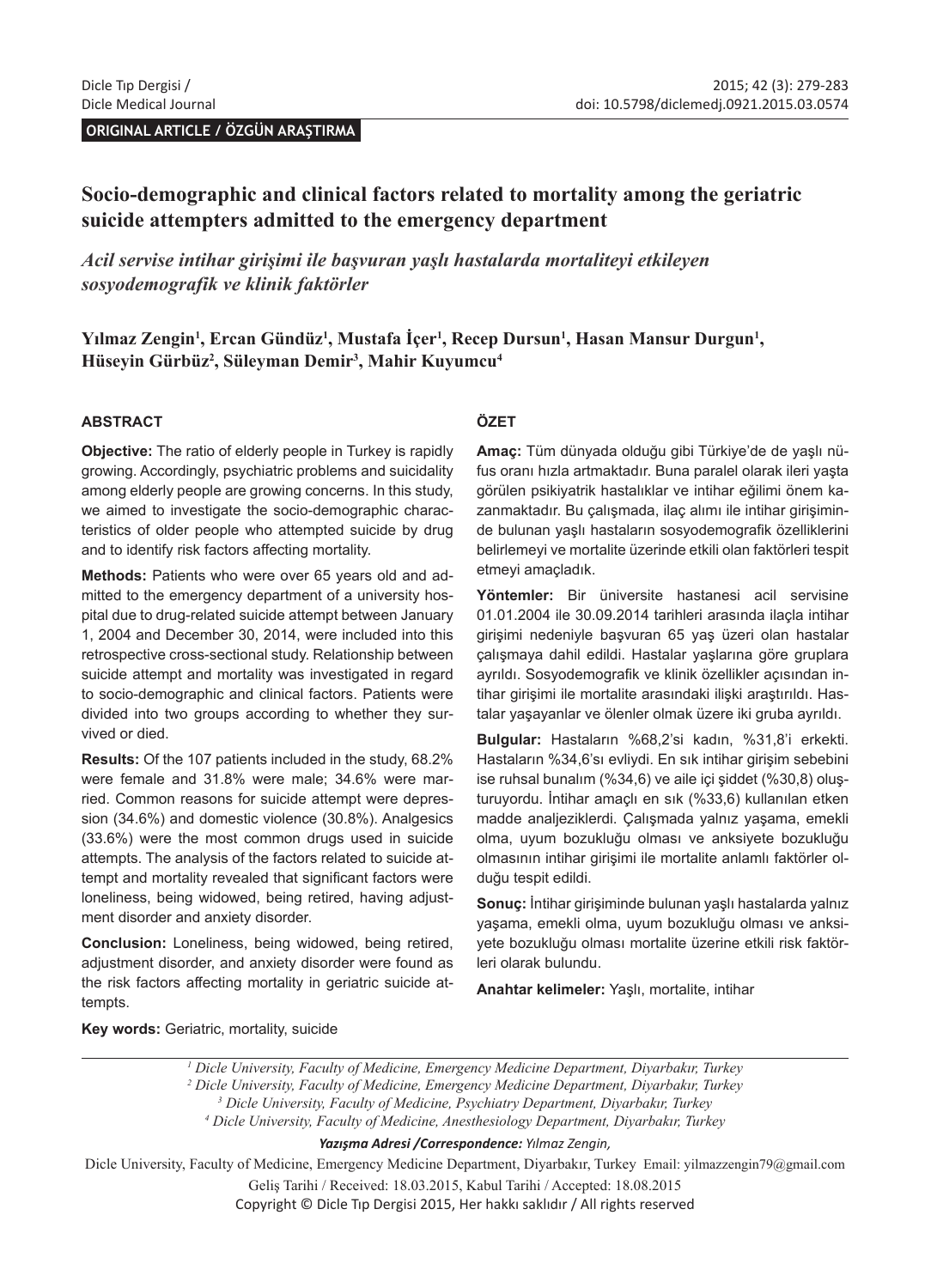**ORIGINAL ARTICLE / ÖZGÜN ARAŞTIRMA** 

# **Socio-demographic and clinical factors related to mortality among the geriatric suicide attempters admitted to the emergency department**

*Acil servise intihar girişimi ile başvuran yaşlı hastalarda mortaliteyi etkileyen sosyodemografik ve klinik faktörler*

Yılmaz Zengin<sup>ı</sup>, Ercan Gündüz<sup>ı</sup>, Mustafa İçer<sup>ı</sup>, Recep Dursun<sup>ı</sup>, Hasan Mansur Durgun<sup>ı</sup>, **Hüseyin Gürbüz<sup>2</sup> , Süleyman Demir<sup>3</sup> , Mahir Kuyumcu<sup>4</sup>**

#### **ABSTRACT**

**Objective:** The ratio of elderly people in Turkey is rapidly growing. Accordingly, psychiatric problems and suicidality among elderly people are growing concerns. In this study, we aimed to investigate the socio-demographic characteristics of older people who attempted suicide by drug and to identify risk factors affecting mortality.

**Methods:** Patients who were over 65 years old and admitted to the emergency department of a university hospital due to drug-related suicide attempt between January 1, 2004 and December 30, 2014, were included into this retrospective cross-sectional study. Relationship between suicide attempt and mortality was investigated in regard to socio-demographic and clinical factors. Patients were divided into two groups according to whether they survived or died.

**Results:** Of the 107 patients included in the study, 68.2% were female and 31.8% were male; 34.6% were married. Common reasons for suicide attempt were depression (34.6%) and domestic violence (30.8%). Analgesics (33.6%) were the most common drugs used in suicide attempts. The analysis of the factors related to suicide attempt and mortality revealed that significant factors were loneliness, being widowed, being retired, having adjustment disorder and anxiety disorder.

**Conclusion:** Loneliness, being widowed, being retired, adjustment disorder, and anxiety disorder were found as the risk factors affecting mortality in geriatric suicide attempts.

#### **ÖZET**

**Amaç:** Tüm dünyada olduğu gibi Türkiye'de de yaşlı nüfus oranı hızla artmaktadır. Buna paralel olarak ileri yaşta görülen psikiyatrik hastalıklar ve intihar eğilimi önem kazanmaktadır. Bu çalışmada, ilaç alımı ile intihar girişiminde bulunan yaşlı hastaların sosyodemografik özelliklerini belirlemeyi ve mortalite üzerinde etkili olan faktörleri tespit etmeyi amaçladık.

**Yöntemler:** Bir üniversite hastanesi acil servisine 01.01.2004 ile 30.09.2014 tarihleri arasında ilaçla intihar girişimi nedeniyle başvuran 65 yaş üzeri olan hastalar çalışmaya dahil edildi. Hastalar yaşlarına göre gruplara ayrıldı. Sosyodemografik ve klinik özellikler açısından intihar girişimi ile mortalite arasındaki ilişki araştırıldı. Hastalar yaşayanlar ve ölenler olmak üzere iki gruba ayrıldı.

**Bulgular:** Hastaların %68,2'si kadın, %31,8'i erkekti. Hastaların %34,6'sı evliydi. En sık intihar girişim sebebini ise ruhsal bunalım (%34,6) ve aile içi şiddet (%30,8) oluşturuyordu. İntihar amaçlı en sık (%33,6) kullanılan etken madde analjeziklerdi. Çalışmada yalnız yaşama, emekli olma, uyum bozukluğu olması ve anksiyete bozukluğu olmasının intihar girişimi ile mortalite anlamlı faktörler olduğu tespit edildi.

**Sonuç:** İntihar girişiminde bulunan yaşlı hastalarda yalnız yaşama, emekli olma, uyum bozukluğu olması ve anksiyete bozukluğu olması mortalite üzerine etkili risk faktörleri olarak bulundu.

**Anahtar kelimeler:** Yaşlı, mortalite, intihar

**Key words:** Geriatric, mortality, suicide

Dicle University, Faculty of Medicine, Emergency Medicine Department, Diyarbakır, Turkey Email: yilmazzengin79@gmail.com Geliş Tarihi / Received: 18.03.2015, Kabul Tarihi / Accepted: 18.08.2015 Copyright © Dicle Tıp Dergisi 2015, Her hakkı saklıdır / All rights reserved

*<sup>1</sup> Dicle University, Faculty of Medicine, Emergency Medicine Department, Diyarbakır, Turkey 2 Dicle University, Faculty of Medicine, Emergency Medicine Department, Diyarbakır, Turkey 3 Dicle University, Faculty of Medicine, Psychiatry Department, Diyarbakır, Turkey 4 Dicle University, Faculty of Medicine, Anesthesiology Department, Diyarbakır, Turkey Yazışma Adresi /Correspondence: Yılmaz Zengin,*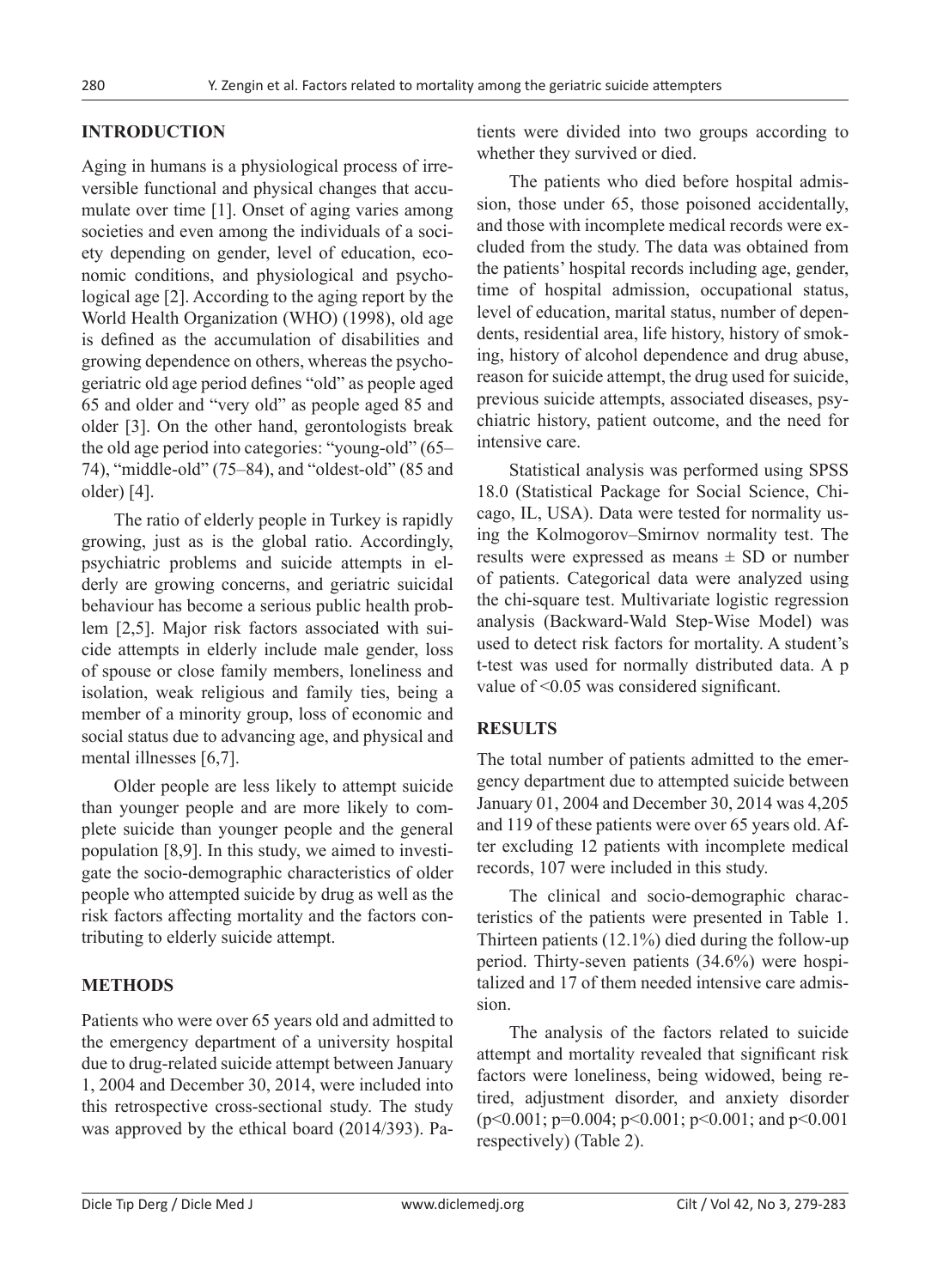### **INTRODUCTION**

Aging in humans is a physiological process of irreversible functional and physical changes that accumulate over time [1]. Onset of aging varies among societies and even among the individuals of a society depending on gender, level of education, economic conditions, and physiological and psychological age [2]. According to the aging report by the World Health Organization (WHO) (1998), old age is defined as the accumulation of disabilities and growing dependence on others, whereas the psychogeriatric old age period defines "old" as people aged 65 and older and "very old" as people aged 85 and older [3]. On the other hand, gerontologists break the old age period into categories: "young-old" (65– 74), "middle-old" (75–84), and "oldest-old" (85 and older) [4].

The ratio of elderly people in Turkey is rapidly growing, just as is the global ratio. Accordingly, psychiatric problems and suicide attempts in elderly are growing concerns, and geriatric suicidal behaviour has become a serious public health problem [2,5]. Major risk factors associated with suicide attempts in elderly include male gender, loss of spouse or close family members, loneliness and isolation, weak religious and family ties, being a member of a minority group, loss of economic and social status due to advancing age, and physical and mental illnesses [6,7].

Older people are less likely to attempt suicide than younger people and are more likely to complete suicide than younger people and the general population [8,9]. In this study, we aimed to investigate the socio-demographic characteristics of older people who attempted suicide by drug as well as the risk factors affecting mortality and the factors contributing to elderly suicide attempt.

### **METHODS**

Patients who were over 65 years old and admitted to the emergency department of a university hospital due to drug-related suicide attempt between January 1, 2004 and December 30, 2014, were included into this retrospective cross-sectional study. The study was approved by the ethical board (2014/393). Patients were divided into two groups according to whether they survived or died.

The patients who died before hospital admission, those under 65, those poisoned accidentally, and those with incomplete medical records were excluded from the study. The data was obtained from the patients' hospital records including age, gender, time of hospital admission, occupational status, level of education, marital status, number of dependents, residential area, life history, history of smoking, history of alcohol dependence and drug abuse, reason for suicide attempt, the drug used for suicide, previous suicide attempts, associated diseases, psychiatric history, patient outcome, and the need for intensive care.

Statistical analysis was performed using SPSS 18.0 (Statistical Package for Social Science, Chicago, IL, USA). Data were tested for normality using the Kolmogorov–Smirnov normality test. The results were expressed as means  $\pm$  SD or number of patients. Categorical data were analyzed using the chi-square test. Multivariate logistic regression analysis (Backward-Wald Step-Wise Model) was used to detect risk factors for mortality. A student's t-test was used for normally distributed data. A p value of <0.05 was considered significant.

#### **RESULTS**

The total number of patients admitted to the emergency department due to attempted suicide between January 01, 2004 and December 30, 2014 was 4,205 and 119 of these patients were over 65 years old. After excluding 12 patients with incomplete medical records, 107 were included in this study.

The clinical and socio-demographic characteristics of the patients were presented in Table 1. Thirteen patients (12.1%) died during the follow-up period. Thirty-seven patients (34.6%) were hospitalized and 17 of them needed intensive care admission.

The analysis of the factors related to suicide attempt and mortality revealed that significant risk factors were loneliness, being widowed, being retired, adjustment disorder, and anxiety disorder  $(p<0.001; p=0.004; p<0.001; p<0.001;$  and  $p<0.001$ respectively) (Table 2).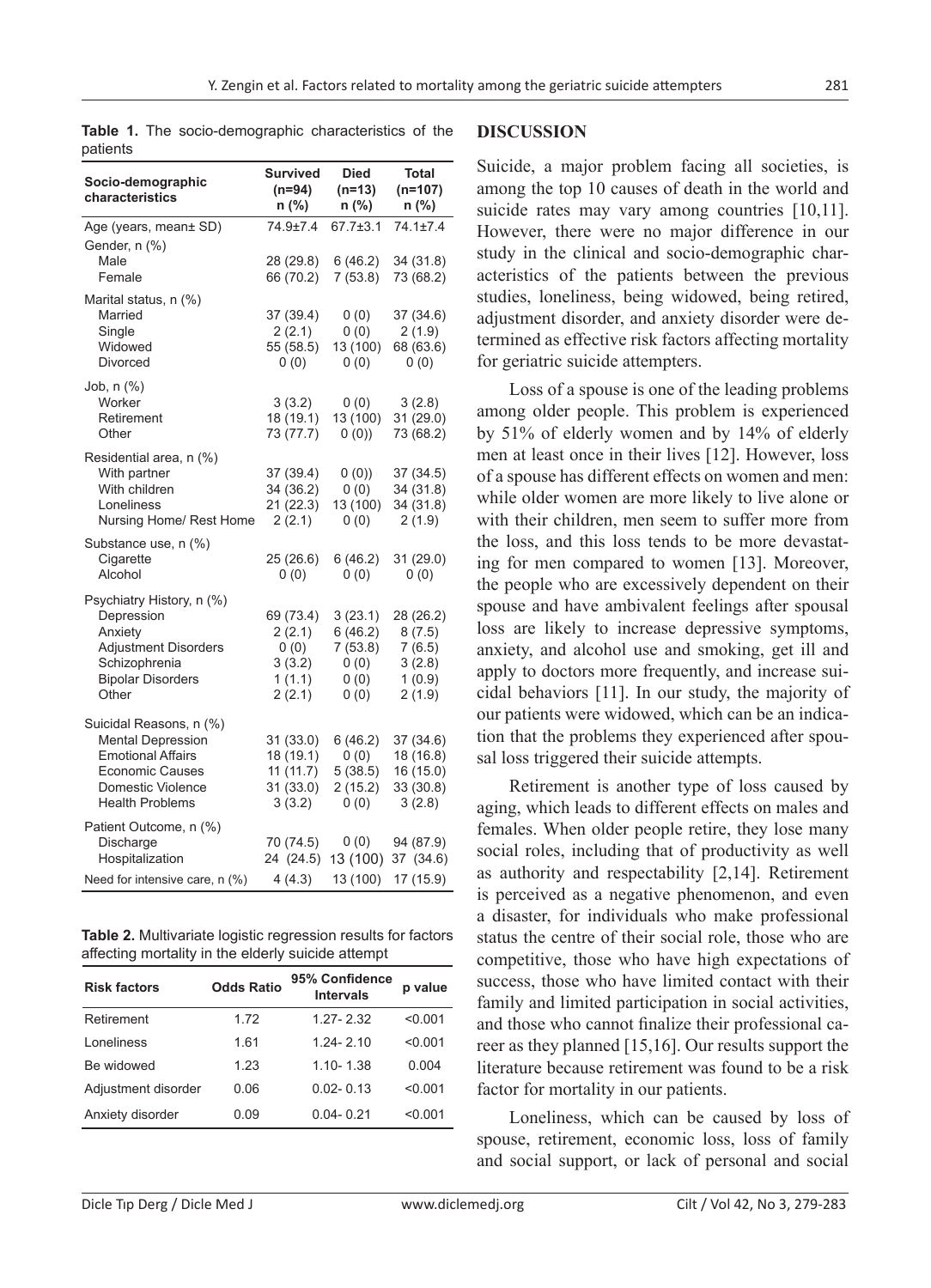| Socio-demographic<br>characteristics                                                                                                                     | Survived<br>$(n=94)$<br>n (%)                             | <b>Died</b><br>$(n=13)$<br>n (%)                     | <b>Total</b><br>$(n=107)$<br>n (%)                          |
|----------------------------------------------------------------------------------------------------------------------------------------------------------|-----------------------------------------------------------|------------------------------------------------------|-------------------------------------------------------------|
| Age (years, mean± SD)<br>Gender, n (%)                                                                                                                   | 74.9±7.4                                                  | 67.7±3.1                                             | $74.1 \pm 7.4$                                              |
| Male<br>Female                                                                                                                                           | 28 (29.8)<br>66 (70.2)                                    | 6(46.2)<br>7(53.8)                                   | 34(31.8)<br>73 (68.2)                                       |
| Marital status, n (%)<br>Married<br>Single<br>Widowed<br>Divorced                                                                                        | 37 (39.4)<br>2(2.1)<br>55 (58.5)<br>0(0)                  | 0(0)<br>0(0)<br>13 (100)<br>0(0)                     | 37(34.6)<br>2(1.9)<br>68 (63.6)<br>0(0)                     |
| Job, n (%)<br>Worker<br>Retirement<br>Other                                                                                                              | 3(3.2)<br>18 (19.1)<br>73 (77.7)                          | 0(0)<br>13 (100)<br>0(0)                             | 3(2.8)<br>31 (29.0)<br>73 (68.2)                            |
| Residential area, n (%)<br>With partner<br>With children<br>Loneliness<br>Nursing Home/ Rest Home                                                        | 37 (39.4)<br>34 (36.2)<br>21 (22.3)<br>2(2.1)             | 0(0)<br>0(0)<br>13 (100)<br>0(0)                     | 37(34.5)<br>34 (31.8)<br>34 (31.8)<br>2(1.9)                |
| Substance use, n (%)<br>Cigarette<br>Alcohol                                                                                                             | 25 (26.6)<br>0(0)                                         | 6(46.2)<br>0(0)                                      | 31(29.0)<br>0(0)                                            |
| Psychiatry History, n (%)<br>Depression<br>Anxiety<br><b>Adjustment Disorders</b><br>Schizophrenia<br><b>Bipolar Disorders</b><br>Other                  | 69 (73.4)<br>2(2.1)<br>(0)<br>3(3.2)<br>1(1.1)<br>2(2.1)  | 3(23.1)<br>6(46.2)<br>7(53.8)<br>(0)<br>0(0)<br>0(0) | 28 (26.2)<br>8(7.5)<br>7(6.5)<br>3(2.8)<br>1(0.9)<br>2(1.9) |
| Suicidal Reasons, n (%)<br><b>Mental Depression</b><br><b>Emotional Affairs</b><br><b>Economic Causes</b><br>Domestic Violence<br><b>Health Problems</b> | 31 (33.0)<br>18 (19.1)<br>11(11.7)<br>31 (33.0)<br>3(3.2) | 6(46.2)<br>0(0)<br>5(38.5)<br>2(15.2)<br>(0)         | 37(34.6)<br>18 (16.8)<br>16 (15.0)<br>33 (30.8)<br>3(2.8)   |
| Patient Outcome, n (%)<br>Discharge<br>Hospitalization                                                                                                   | 70 (74.5)<br>24 (24.5)                                    | 0(0)<br>13 (100)                                     | 94 (87.9)<br>37 (34.6)                                      |
| Need for intensive care, n (%)                                                                                                                           | 4(4.3)                                                    | 13 (100)                                             | 17 (15.9)                                                   |

**Table 1.** The socio-demographic characteristics of the patients

**Table 2.** Multivariate logistic regression results for factors affecting mortality in the elderly suicide attempt

| <b>Risk factors</b> | <b>Odds Ratio</b> | 95% Confidence<br><b>Intervals</b> | p value |
|---------------------|-------------------|------------------------------------|---------|
| Retirement          | 1.72              | 1 27 - 2 32                        | < 0.001 |
| Loneliness          | 1.61              | 1 24 - 2 10                        | < 0.001 |
| Be widowed          | 1 2 3             | 1 10 - 1 38                        | 0.004   |
| Adjustment disorder | 0.06              | $0.02 - 0.13$                      | < 0.001 |
| Anxiety disorder    | 0.09              | $0.04 - 0.21$                      | < 0.001 |

#### **DISCUSSION**

Suicide, a major problem facing all societies, is among the top 10 causes of death in the world and suicide rates may vary among countries [10,11]. However, there were no major difference in our study in the clinical and socio-demographic characteristics of the patients between the previous studies, loneliness, being widowed, being retired, adjustment disorder, and anxiety disorder were determined as effective risk factors affecting mortality for geriatric suicide attempters.

Loss of a spouse is one of the leading problems among older people. This problem is experienced by 51% of elderly women and by 14% of elderly men at least once in their lives [12]. However, loss of a spouse has different effects on women and men: while older women are more likely to live alone or with their children, men seem to suffer more from the loss, and this loss tends to be more devastating for men compared to women [13]. Moreover, the people who are excessively dependent on their spouse and have ambivalent feelings after spousal loss are likely to increase depressive symptoms, anxiety, and alcohol use and smoking, get ill and apply to doctors more frequently, and increase suicidal behaviors [11]. In our study, the majority of our patients were widowed, which can be an indication that the problems they experienced after spousal loss triggered their suicide attempts.

Retirement is another type of loss caused by aging, which leads to different effects on males and females. When older people retire, they lose many social roles, including that of productivity as well as authority and respectability [2,14]. Retirement is perceived as a negative phenomenon, and even a disaster, for individuals who make professional status the centre of their social role, those who are competitive, those who have high expectations of success, those who have limited contact with their family and limited participation in social activities, and those who cannot finalize their professional career as they planned [15,16]. Our results support the literature because retirement was found to be a risk factor for mortality in our patients.

Loneliness, which can be caused by loss of spouse, retirement, economic loss, loss of family and social support, or lack of personal and social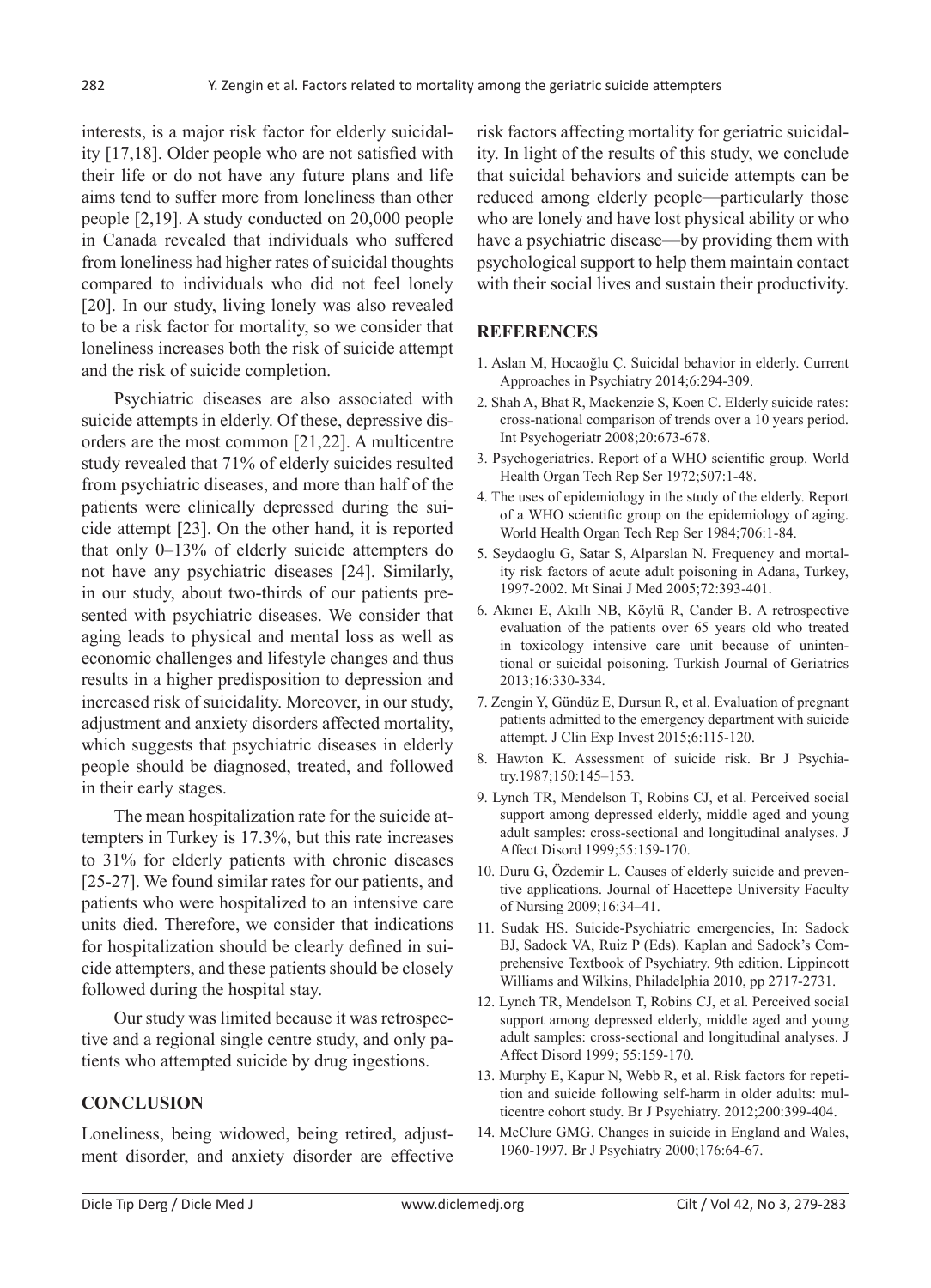interests, is a major risk factor for elderly suicidality [17,18]. Older people who are not satisfied with their life or do not have any future plans and life aims tend to suffer more from loneliness than other people [2,19]. A study conducted on 20,000 people in Canada revealed that individuals who suffered from loneliness had higher rates of suicidal thoughts compared to individuals who did not feel lonely [20]. In our study, living lonely was also revealed to be a risk factor for mortality, so we consider that loneliness increases both the risk of suicide attempt and the risk of suicide completion.

Psychiatric diseases are also associated with suicide attempts in elderly. Of these, depressive disorders are the most common [21,22]. A multicentre study revealed that 71% of elderly suicides resulted from psychiatric diseases, and more than half of the patients were clinically depressed during the suicide attempt [23]. On the other hand, it is reported that only 0–13% of elderly suicide attempters do not have any psychiatric diseases [24]. Similarly, in our study, about two-thirds of our patients presented with psychiatric diseases. We consider that aging leads to physical and mental loss as well as economic challenges and lifestyle changes and thus results in a higher predisposition to depression and increased risk of suicidality. Moreover, in our study, adjustment and anxiety disorders affected mortality, which suggests that psychiatric diseases in elderly people should be diagnosed, treated, and followed in their early stages.

The mean hospitalization rate for the suicide attempters in Turkey is 17.3%, but this rate increases to 31% for elderly patients with chronic diseases [25-27]. We found similar rates for our patients, and patients who were hospitalized to an intensive care units died. Therefore, we consider that indications for hospitalization should be clearly defined in suicide attempters, and these patients should be closely followed during the hospital stay.

Our study was limited because it was retrospective and a regional single centre study, and only patients who attempted suicide by drug ingestions.

## **CONCLUSION**

Loneliness, being widowed, being retired, adjustment disorder, and anxiety disorder are effective risk factors affecting mortality for geriatric suicidality. In light of the results of this study, we conclude that suicidal behaviors and suicide attempts can be reduced among elderly people—particularly those who are lonely and have lost physical ability or who have a psychiatric disease—by providing them with psychological support to help them maintain contact with their social lives and sustain their productivity.

### **REFERENCES**

- 1. Aslan M, Hocaoğlu Ç. Suicidal behavior in elderly. Current Approaches in Psychiatry 2014;6:294-309.
- 2. Shah A, Bhat R, Mackenzie S, Koen C. Elderly suicide rates: cross-national comparison of trends over a 10 years period. Int Psychogeriatr 2008;20:673-678.
- 3. Psychogeriatrics. Report of a WHO scientific group. World Health Organ Tech Rep Ser 1972;507:1-48.
- 4. The uses of epidemiology in the study of the elderly. Report of a WHO scientific group on the epidemiology of aging. World Health Organ Tech Rep Ser 1984;706:1-84.
- 5. Seydaoglu G, Satar S, Alparslan N. Frequency and mortality risk factors of acute adult poisoning in Adana, Turkey, 1997-2002. Mt Sinai J Med 2005;72:393-401.
- 6. Akıncı E, Akıllı NB, Köylü R, Cander B. A retrospective evaluation of the patients over 65 years old who treated in toxicology intensive care unit because of unintentional or suicidal poisoning. Turkish Journal of Geriatrics 2013;16:330-334.
- 7. Zengin Y, Gündüz E, Dursun R, et al. Evaluation of pregnant patients admitted to the emergency department with suicide attempt. J Clin Exp Invest 2015;6:115-120.
- 8. Hawton K. Assessment of suicide risk. Br J Psychiatry.1987;150:145–153.
- 9. Lynch TR, Mendelson T, Robins CJ, et al. Perceived social support among depressed elderly, middle aged and young adult samples: cross-sectional and longitudinal analyses. J Affect Disord 1999;55:159-170.
- 10. Duru G, Özdemir L. Causes of elderly suicide and preventive applications. Journal of Hacettepe University Faculty of Nursing 2009;16:34–41.
- 11. Sudak HS. Suicide-Psychiatric emergencies, In: Sadock BJ, Sadock VA, Ruiz P (Eds). Kaplan and Sadock's Comprehensive Textbook of Psychiatry. 9th edition. Lippincott Williams and Wilkins, Philadelphia 2010, pp 2717-2731.
- 12. Lynch TR, Mendelson T, Robins CJ, et al. Perceived social support among depressed elderly, middle aged and young adult samples: cross-sectional and longitudinal analyses. J Affect Disord 1999; 55:159-170.
- 13. Murphy E, Kapur N, Webb R, et al. Risk factors for repetition and suicide following self-harm in older adults: multicentre cohort study. Br J Psychiatry. 2012;200:399-404.
- 14. McClure GMG. Changes in suicide in England and Wales, 1960-1997. Br J Psychiatry 2000;176:64-67.